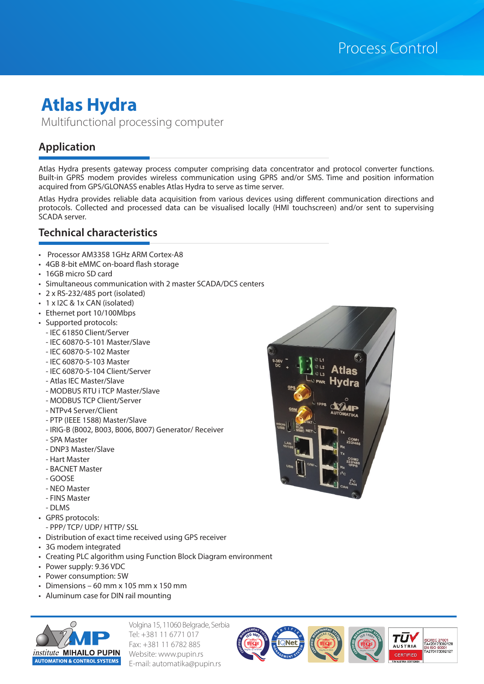# **Atlas Hydra** Multifunctional processing computer

## **Application**

Atlas Hydra presents gateway process computer comprising data concentrator and protocol converter functions. Built-in GPRS modem provides wireless communication using GPRS and/or SMS. Time and position information acquired from GPS/GLONASS enables Atlas Hydra to serve as time server.

Atlas Hydra provides reliable data acquisition from various devices using different communication directions and protocols. Collected and processed data can be visualised locally (HMI touchscreen) and/or sent to supervising SCADA server.

### **Technical characteristics**

- Processor AM3358 1GHz ARM Cortex-A8
- 4GB 8-bit eMMC on-board flash storage
- 16GB micro SD card
- Simultaneous communication with 2 master SCADA/DCS centers
- 2 x RS-232/485 port (isolated)
- 1 x I2C & 1x CAN (isolated)
- Ethernet port 10/100Mbps
- Supported protocols:
- IEC 61850 Client/Server
- IEC 60870-5-101 Master/Slave
- IEC 60870-5-102 Master
- IEC 60870-5-103 Master
- IEC 60870-5-104 Client/Server
- Atlas IEC Master/Slave
- MODBUS RTU i TCP Master/Slave
- MODBUS TCP Client/Server
- NTPv4 Server/Client
- PTP (IEEE 1588) Master/Slave
- IRIG-B (B002, B003, B006, B007) Generator/ Receiver
- SPA Master
- DNP3 Master/Slave
- Hart Master
- BACNET Master
- GOOSE
- NEO Master
- FINS Master
- DLMS
- GPRS protocols:
- PPP/ TCP/ UDP/ HTTP/ SSL
- Distribution of exact time received using GPS receiver
- 3G modem integrated
- Creating PLC algorithm using Function Block Diagram environment
- Power supply: 9.36 VDC
- Power consumption: 5W
- Dimensions 60 mm x 105 mm x 150 mm
- Aluminum case for DIN rail mounting



Volgina 15, 11060 Belgrade, Serbia Tel: +381 11 6771 017 Fax: +381 11 6782 885 Website: www.pupin.rs E-mail: automatika@pupin.rs

Reg.No.:Q-1078-IVR **CERTENENENENCENE** 



Reg.No.:O-0063 **<sup>O</sup>HSA<sup>S</sup> <sup>1</sup>800<sup>1</sup> CERT<sup>I</sup>F<sup>I</sup><sup>E</sup><sup>D</sup> <sup>M</sup>ANAGEMEN<sup>T</sup> <sup>S</sup>YSTE<sup>M</sup>**

**<sup>I</sup>S<sup>O</sup> <sup>1</sup>400<sup>1</sup> CE RT E E C E E C E E E C E E E C E E C E E E C E E E C E E E C E E C E E E C E E C E** 

TU

**AUSTRIA** 

ISO/IEC 27001<br>TA420173002128

N 150 50001<br>A270173002127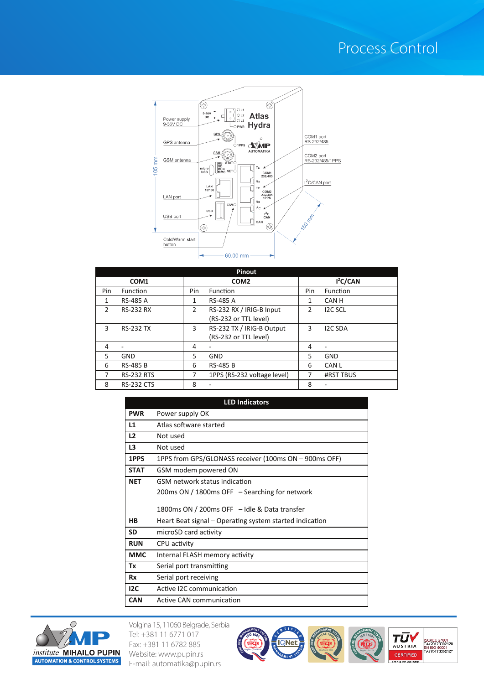# Process Control



| <b>Pinout</b> |                   |     |                                                    |     |                      |  |  |
|---------------|-------------------|-----|----------------------------------------------------|-----|----------------------|--|--|
|               | COM <sub>1</sub>  |     | COM <sub>2</sub>                                   |     | I <sup>2</sup> C/CAN |  |  |
| Pin           | <b>Function</b>   | Pin | Function                                           | Pin | Function             |  |  |
| 1             | <b>RS-485 A</b>   | 1   | <b>RS-485 A</b>                                    | 1   | CAN H                |  |  |
| $\mathcal{P}$ | <b>RS-232 RX</b>  | 2   | RS-232 RX / IRIG-B Input<br>(RS-232 or TTL level)  | 2   | <b>I2C SCL</b>       |  |  |
| 3             | <b>RS-232 TX</b>  | 3   | RS-232 TX / IRIG-B Output<br>(RS-232 or TTL level) | 3   | <b>I2C SDA</b>       |  |  |
| 4             | -                 | 4   | ۰                                                  | 4   | ۰                    |  |  |
| 5             | <b>GND</b>        | 5   | <b>GND</b>                                         | 5   | <b>GND</b>           |  |  |
| 6             | <b>RS-485 B</b>   | 6   | <b>RS-485 B</b>                                    | 6   | <b>CAN L</b>         |  |  |
|               | <b>RS-232 RTS</b> | 7   | 1PPS (RS-232 voltage level)                        |     | <b>#RST TBUS</b>     |  |  |
| 8             | <b>RS-232 CTS</b> | 8   |                                                    | 8   |                      |  |  |

| <b>LED Indicators</b> |                                                         |  |  |  |  |  |
|-----------------------|---------------------------------------------------------|--|--|--|--|--|
| <b>PWR</b>            | Power supply OK                                         |  |  |  |  |  |
| L1                    | Atlas software started                                  |  |  |  |  |  |
| L2                    | Not used                                                |  |  |  |  |  |
| L3                    | Not used                                                |  |  |  |  |  |
| 1PPS                  | 1PPS from GPS/GLONASS receiver (100ms ON – 900ms OFF)   |  |  |  |  |  |
| <b>STAT</b>           | GSM modem powered ON                                    |  |  |  |  |  |
| <b>NET</b>            | GSM network status indication                           |  |  |  |  |  |
|                       | 200ms ON / 1800ms OFF - Searching for network           |  |  |  |  |  |
|                       | 1800ms ON / 200ms OFF - Idle & Data transfer            |  |  |  |  |  |
| HB                    | Heart Beat signal – Operating system started indication |  |  |  |  |  |
| <b>SD</b>             | microSD card activity                                   |  |  |  |  |  |
| <b>RUN</b>            | CPU activity                                            |  |  |  |  |  |
| <b>MMC</b>            | Internal FLASH memory activity                          |  |  |  |  |  |
| Тx                    | Serial port transmitting                                |  |  |  |  |  |
| <b>Rx</b>             | Serial port receiving                                   |  |  |  |  |  |
| 12C                   | Active I2C communication                                |  |  |  |  |  |
| <b>CAN</b>            | Active CAN communication                                |  |  |  |  |  |



Volgina 15, 11060 Belgrade, Serbia Tel: +381 11 6771 017 Fax: +381 11 6782 885 Website: www.pupin.rs E-mail: automatika@pupin.rs